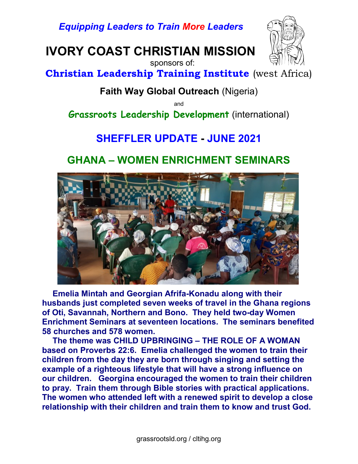Equipping Leaders to Train More Leaders

IVORY COAST CHRISTIAN MISSION



Christian Leadership Training Institute (west Africa)

sponsors of:

#### Faith Way Global Outreach (Nigeria)

and

Grassroots Leadership Development (international)

# SHEFFLER UPDATE - JUNE 2021

### GHANA – WOMEN ENRICHMENT SEMINARS



Emelia Mintah and Georgian Afrifa-Konadu along with their husbands just completed seven weeks of travel in the Ghana regions of Oti, Savannah, Northern and Bono. They held two-day Women Enrichment Seminars at seventeen locations. The seminars benefited 58 churches and 578 women.

The theme was CHILD UPBRINGING – THE ROLE OF A WOMAN based on Proverbs 22:6. Emelia challenged the women to train their children from the day they are born through singing and setting the example of a righteous lifestyle that will have a strong influence on our children. Georgina encouraged the women to train their children to pray. Train them through Bible stories with practical applications. The women who attended left with a renewed spirit to develop a close relationship with their children and train them to know and trust God.